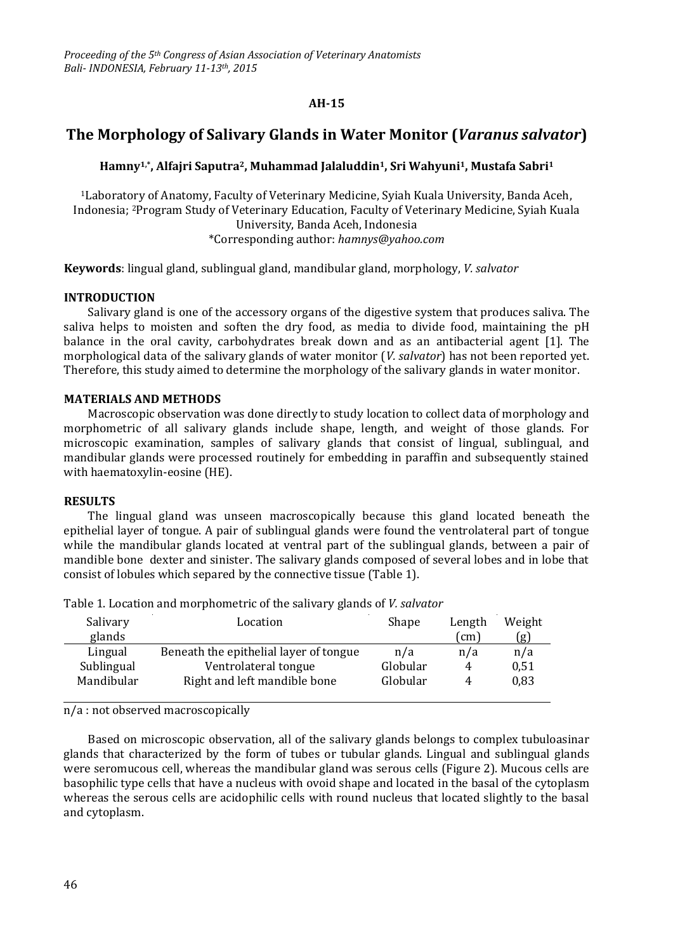# **AH-15**

# **The Morphology of Salivary Glands in Water Monitor (***Varanus salvator***)**

## **Hamny1,\*, Alfajri Saputra2, Muhammad Jalaluddin1, Sri Wahyuni1, Mustafa Sabri<sup>1</sup>**

<sup>1</sup>Laboratory of Anatomy, Faculty of Veterinary Medicine, Syiah Kuala University, Banda Aceh, Indonesia; 2Program Study of Veterinary Education, Faculty of Veterinary Medicine, Syiah Kuala University, Banda Aceh, Indonesia \*Corresponding author: *[hamnys@yahoo.com](mailto:hamnys@yahoo.com)*

**Keywords**: lingual gland, sublingual gland, mandibular gland, morphology, *V. salvator*

## **INTRODUCTION**

Salivary gland is one of the accessory organs of the digestive system that produces saliva. The saliva helps to moisten and soften the dry food, as media to divide food, maintaining the pH balance in the oral cavity, carbohydrates break down and as an antibacterial agent [1]. The morphological data of the salivary glands of water monitor (*V. salvator*) has not been reported yet. Therefore, this study aimed to determine the morphology of the salivary glands in water monitor.

## **MATERIALS AND METHODS**

Macroscopic observation was done directly to study location to collect data of morphology and morphometric of all salivary glands include shape, length, and weight of those glands. For microscopic examination, samples of salivary glands that consist of lingual, sublingual, and mandibular glands were processed routinely for embedding in paraffin and subsequently stained with haematoxylin-eosine (HE).

### **RESULTS**

The lingual gland was unseen macroscopically because this gland located beneath the epithelial layer of tongue. A pair of sublingual glands were found the ventrolateral part of tongue while the mandibular glands located at ventral part of the sublingual glands, between a pair of mandible bone dexter and sinister. The salivary glands composed of several lobes and in lobe that consist of lobules which separed by the connective tissue (Table 1).

| Salivary   | Location                               | Shape    | Length     | Weight |
|------------|----------------------------------------|----------|------------|--------|
| glands     |                                        |          | $\pmod{m}$ | (g)    |
| Lingual    | Beneath the epithelial layer of tongue | n/a      | n/a        | n/a    |
| Sublingual | Ventrolateral tongue                   | Globular | 4          | 0,51   |
| Mandibular | Right and left mandible bone           | Globular | 4          | 0,83   |
|            |                                        |          |            |        |

Table 1. Location and morphometric of the salivary glands of *V. salvator*

n/a : not observed macroscopically

Based on microscopic observation, all of the salivary glands belongs to complex tubuloasinar glands that characterized by the form of tubes or tubular glands. Lingual and sublingual glands were seromucous cell, whereas the mandibular gland was serous cells (Figure 2). Mucous cells are basophilic type cells that have a nucleus with ovoid shape and located in the basal of the cytoplasm whereas the serous cells are acidophilic cells with round nucleus that located slightly to the basal and cytoplasm.